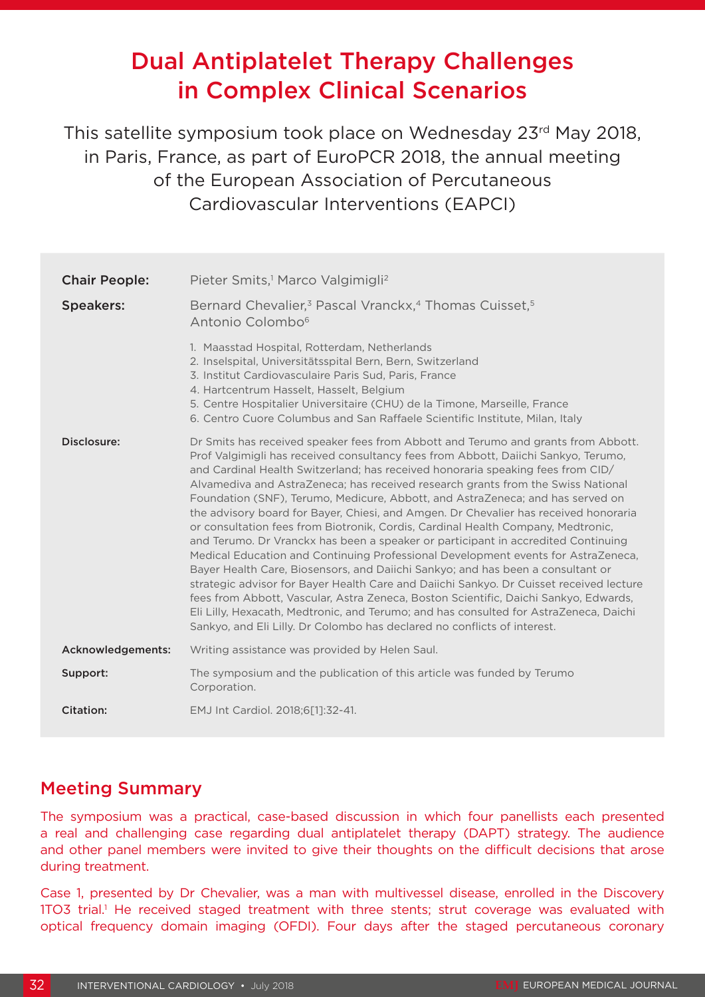# Dual Antiplatelet Therapy Challenges in Complex Clinical Scenarios

This satellite symposium took place on Wednesday 23rd May 2018, in Paris, France, as part of EuroPCR 2018, the annual meeting of the European Association of Percutaneous Cardiovascular Interventions (EAPCI)

| <b>Chair People:</b> | Pieter Smits, <sup>1</sup> Marco Valgimigli <sup>2</sup>                                                                                                                                                                                                                                                                                                                                                                                                                                                                                                                                                                                                                                                                                                                                                                                                                                                                                                                                                                                                                                                                                                                                                                          |
|----------------------|-----------------------------------------------------------------------------------------------------------------------------------------------------------------------------------------------------------------------------------------------------------------------------------------------------------------------------------------------------------------------------------------------------------------------------------------------------------------------------------------------------------------------------------------------------------------------------------------------------------------------------------------------------------------------------------------------------------------------------------------------------------------------------------------------------------------------------------------------------------------------------------------------------------------------------------------------------------------------------------------------------------------------------------------------------------------------------------------------------------------------------------------------------------------------------------------------------------------------------------|
| <b>Speakers:</b>     | Bernard Chevalier, <sup>3</sup> Pascal Vranckx, <sup>4</sup> Thomas Cuisset, <sup>5</sup><br>Antonio Colombo <sup>6</sup>                                                                                                                                                                                                                                                                                                                                                                                                                                                                                                                                                                                                                                                                                                                                                                                                                                                                                                                                                                                                                                                                                                         |
|                      | 1. Maasstad Hospital, Rotterdam, Netherlands<br>2. Inselspital, Universitätsspital Bern, Bern, Switzerland<br>3. Institut Cardiovasculaire Paris Sud, Paris, France<br>4. Hartcentrum Hasselt, Hasselt, Belgium<br>5. Centre Hospitalier Universitaire (CHU) de la Timone, Marseille, France<br>6. Centro Cuore Columbus and San Raffaele Scientific Institute, Milan, Italy                                                                                                                                                                                                                                                                                                                                                                                                                                                                                                                                                                                                                                                                                                                                                                                                                                                      |
| Disclosure:          | Dr Smits has received speaker fees from Abbott and Terumo and grants from Abbott.<br>Prof Valgimigli has received consultancy fees from Abbott, Daiichi Sankyo, Terumo,<br>and Cardinal Health Switzerland; has received honoraria speaking fees from CID/<br>Alvamediva and AstraZeneca; has received research grants from the Swiss National<br>Foundation (SNF), Terumo, Medicure, Abbott, and AstraZeneca; and has served on<br>the advisory board for Bayer, Chiesi, and Amgen. Dr Chevalier has received honoraria<br>or consultation fees from Biotronik, Cordis, Cardinal Health Company, Medtronic,<br>and Terumo. Dr Vranckx has been a speaker or participant in accredited Continuing<br>Medical Education and Continuing Professional Development events for AstraZeneca,<br>Bayer Health Care, Biosensors, and Daiichi Sankyo; and has been a consultant or<br>strategic advisor for Bayer Health Care and Daiichi Sankyo. Dr Cuisset received lecture<br>fees from Abbott, Vascular, Astra Zeneca, Boston Scientific, Daichi Sankyo, Edwards,<br>Eli Lilly, Hexacath, Medtronic, and Terumo; and has consulted for AstraZeneca, Daichi<br>Sankyo, and Eli Lilly. Dr Colombo has declared no conflicts of interest. |
| Acknowledgements:    | Writing assistance was provided by Helen Saul.                                                                                                                                                                                                                                                                                                                                                                                                                                                                                                                                                                                                                                                                                                                                                                                                                                                                                                                                                                                                                                                                                                                                                                                    |
| Support:             | The symposium and the publication of this article was funded by Terumo<br>Corporation.                                                                                                                                                                                                                                                                                                                                                                                                                                                                                                                                                                                                                                                                                                                                                                                                                                                                                                                                                                                                                                                                                                                                            |
| <b>Citation:</b>     | EMJ Int Cardiol. 2018;6[1]:32-41.                                                                                                                                                                                                                                                                                                                                                                                                                                                                                                                                                                                                                                                                                                                                                                                                                                                                                                                                                                                                                                                                                                                                                                                                 |

### Meeting Summary

The symposium was a practical, case-based discussion in which four panellists each presented a real and challenging case regarding dual antiplatelet therapy (DAPT) strategy. The audience and other panel members were invited to give their thoughts on the difficult decisions that arose during treatment.

Case 1, presented by Dr Chevalier, was a man with multivessel disease, enrolled in the Discovery 1TO3 trial.<sup>1</sup> He received staged treatment with three stents; strut coverage was evaluated with optical frequency domain imaging (OFDI). Four days after the staged percutaneous coronary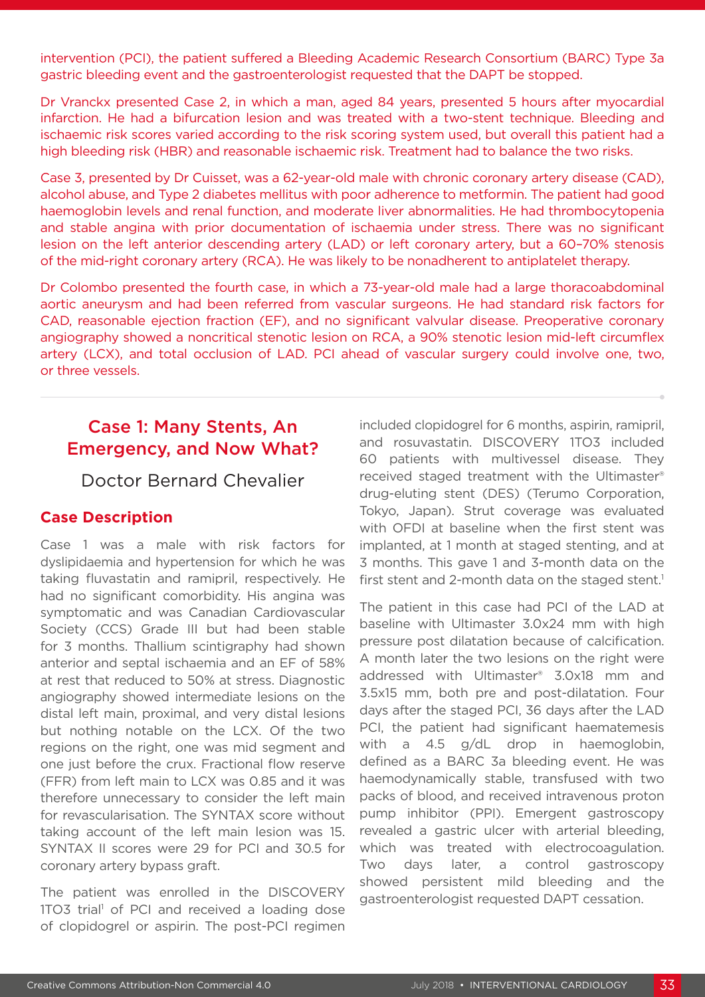intervention (PCI), the patient suffered a Bleeding Academic Research Consortium (BARC) Type 3a gastric bleeding event and the gastroenterologist requested that the DAPT be stopped.

Dr Vranckx presented Case 2, in which a man, aged 84 years, presented 5 hours after myocardial infarction. He had a bifurcation lesion and was treated with a two-stent technique. Bleeding and ischaemic risk scores varied according to the risk scoring system used, but overall this patient had a high bleeding risk (HBR) and reasonable ischaemic risk. Treatment had to balance the two risks.

Case 3, presented by Dr Cuisset, was a 62-year-old male with chronic coronary artery disease (CAD), alcohol abuse, and Type 2 diabetes mellitus with poor adherence to metformin. The patient had good haemoglobin levels and renal function, and moderate liver abnormalities. He had thrombocytopenia and stable angina with prior documentation of ischaemia under stress. There was no significant lesion on the left anterior descending artery (LAD) or left coronary artery, but a 60–70% stenosis of the mid-right coronary artery (RCA). He was likely to be nonadherent to antiplatelet therapy.

Dr Colombo presented the fourth case, in which a 73-year-old male had a large thoracoabdominal aortic aneurysm and had been referred from vascular surgeons. He had standard risk factors for CAD, reasonable ejection fraction (EF), and no significant valvular disease. Preoperative coronary angiography showed a noncritical stenotic lesion on RCA, a 90% stenotic lesion mid-left circumflex artery (LCX), and total occlusion of LAD. PCI ahead of vascular surgery could involve one, two, or three vessels.

### Case 1: Many Stents, An Emergency, and Now What?

Doctor Bernard Chevalier

### **Case Description**

Case 1 was a male with risk factors for dyslipidaemia and hypertension for which he was taking fluvastatin and ramipril, respectively. He had no significant comorbidity. His angina was symptomatic and was Canadian Cardiovascular Society (CCS) Grade III but had been stable for 3 months. Thallium scintigraphy had shown anterior and septal ischaemia and an EF of 58% at rest that reduced to 50% at stress. Diagnostic angiography showed intermediate lesions on the distal left main, proximal, and very distal lesions but nothing notable on the LCX. Of the two regions on the right, one was mid segment and one just before the crux. Fractional flow reserve (FFR) from left main to LCX was 0.85 and it was therefore unnecessary to consider the left main for revascularisation. The SYNTAX score without taking account of the left main lesion was 15. SYNTAX II scores were 29 for PCI and 30.5 for coronary artery bypass graft.

The patient was enrolled in the DISCOVERY 1TO3 trial<sup>1</sup> of PCI and received a loading dose of clopidogrel or aspirin. The post-PCI regimen

included clopidogrel for 6 months, aspirin, ramipril, and rosuvastatin. DISCOVERY 1TO3 included 60 patients with multivessel disease. They received staged treatment with the Ultimaster® drug-eluting stent (DES) (Terumo Corporation, Tokyo, Japan). Strut coverage was evaluated with OFDI at baseline when the first stent was implanted, at 1 month at staged stenting, and at 3 months. This gave 1 and 3-month data on the first stent and 2-month data on the staged stent.<sup>1</sup>

The patient in this case had PCI of the LAD at baseline with Ultimaster 3.0x24 mm with high pressure post dilatation because of calcification. A month later the two lesions on the right were addressed with Ultimaster® 3.0x18 mm and 3.5x15 mm, both pre and post-dilatation. Four days after the staged PCI, 36 days after the LAD PCI, the patient had significant haematemesis with a 4.5 g/dL drop in haemoglobin, defined as a BARC 3a bleeding event. He was haemodynamically stable, transfused with two packs of blood, and received intravenous proton pump inhibitor (PPI). Emergent gastroscopy revealed a gastric ulcer with arterial bleeding, which was treated with electrocoagulation. Two days later, a control gastroscopy showed persistent mild bleeding and the gastroenterologist requested DAPT cessation.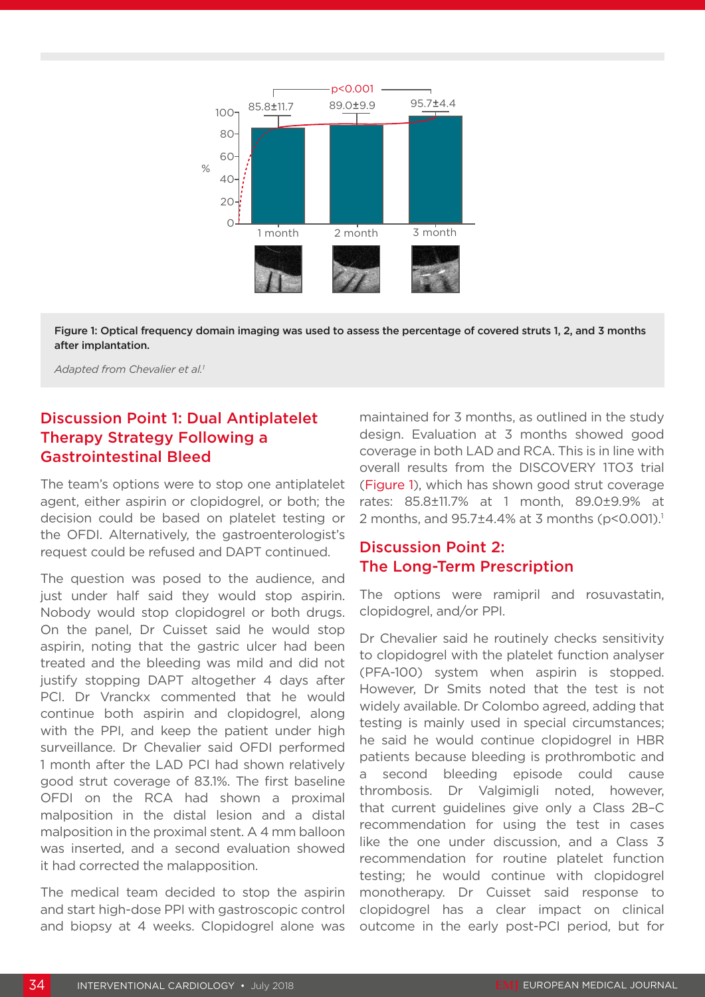

Figure 1: Optical frequency domain imaging was used to assess the percentage of covered struts 1, 2, and 3 months after implantation.

*Adapted from Chevalier et al.1*

### Discussion Point 1: Dual Antiplatelet Therapy Strategy Following a Gastrointestinal Bleed

The team's options were to stop one antiplatelet agent, either aspirin or clopidogrel, or both; the decision could be based on platelet testing or the OFDI. Alternatively, the gastroenterologist's request could be refused and DAPT continued.

The question was posed to the audience, and just under half said they would stop aspirin. Nobody would stop clopidogrel or both drugs. On the panel, Dr Cuisset said he would stop aspirin, noting that the gastric ulcer had been treated and the bleeding was mild and did not justify stopping DAPT altogether 4 days after PCI. Dr Vranckx commented that he would continue both aspirin and clopidogrel, along with the PPI, and keep the patient under high surveillance. Dr Chevalier said OFDI performed 1 month after the LAD PCI had shown relatively good strut coverage of 83.1%. The first baseline OFDI on the RCA had shown a proximal malposition in the distal lesion and a distal malposition in the proximal stent. A 4 mm balloon was inserted, and a second evaluation showed it had corrected the malapposition.

The medical team decided to stop the aspirin and start high-dose PPI with gastroscopic control and biopsy at 4 weeks. Clopidogrel alone was

maintained for 3 months, as outlined in the study design. Evaluation at 3 months showed good coverage in both LAD and RCA. This is in line with overall results from the DISCOVERY 1TO3 trial (Figure 1), which has shown good strut coverage rates: 85.8±11.7% at 1 month, 89.0±9.9% at 2 months, and 95.7±4.4% at 3 months (p<0.001).1

#### Discussion Point 2: The Long-Term Prescription

The options were ramipril and rosuvastatin, clopidogrel, and/or PPI.

Dr Chevalier said he routinely checks sensitivity to clopidogrel with the platelet function analyser (PFA-100) system when aspirin is stopped. However, Dr Smits noted that the test is not widely available. Dr Colombo agreed, adding that testing is mainly used in special circumstances; he said he would continue clopidogrel in HBR patients because bleeding is prothrombotic and a second bleeding episode could cause thrombosis. Dr Valgimigli noted, however, that current guidelines give only a Class 2B–C recommendation for using the test in cases like the one under discussion, and a Class 3 recommendation for routine platelet function testing; he would continue with clopidogrel monotherapy. Dr Cuisset said response to clopidogrel has a clear impact on clinical outcome in the early post-PCI period, but for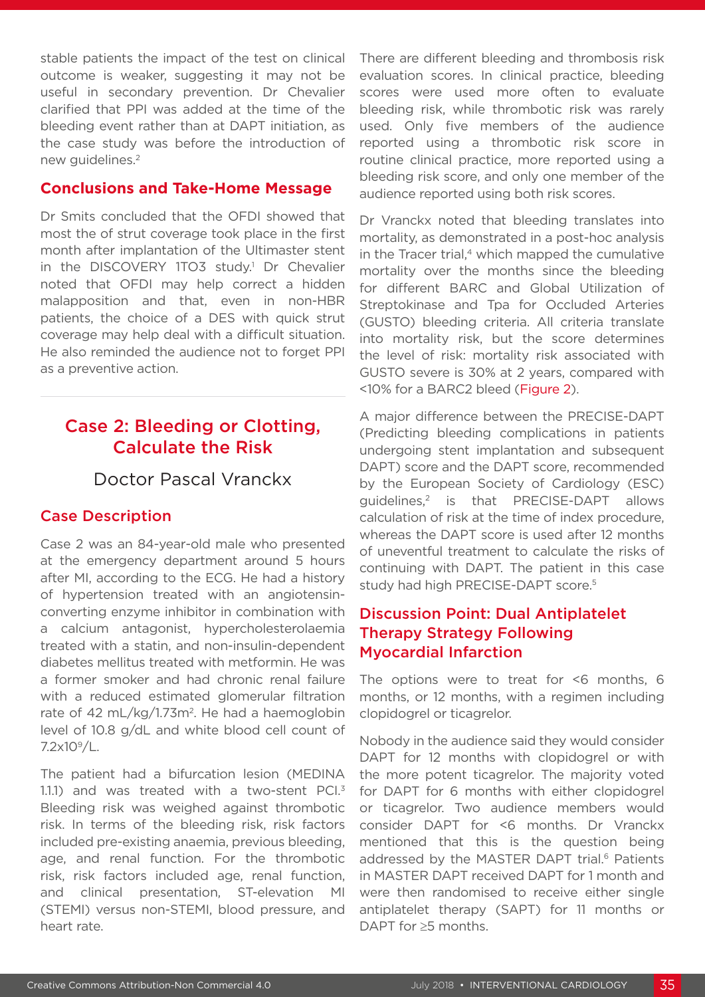stable patients the impact of the test on clinical outcome is weaker, suggesting it may not be useful in secondary prevention. Dr Chevalier clarified that PPI was added at the time of the bleeding event rather than at DAPT initiation, as the case study was before the introduction of new quidelines.<sup>2</sup>

#### **Conclusions and Take-Home Message**

Dr Smits concluded that the OFDI showed that most the of strut coverage took place in the first month after implantation of the Ultimaster stent in the DISCOVERY 1TO3 study.<sup>1</sup> Dr Chevalier noted that OFDI may help correct a hidden malapposition and that, even in non-HBR patients, the choice of a DES with quick strut coverage may help deal with a difficult situation. He also reminded the audience not to forget PPI as a preventive action.

# Case 2: Bleeding or Clotting, Calculate the Risk

### Doctor Pascal Vranckx

### Case Description

Case 2 was an 84-year-old male who presented at the emergency department around 5 hours after MI, according to the ECG. He had a history of hypertension treated with an angiotensinconverting enzyme inhibitor in combination with a calcium antagonist, hypercholesterolaemia treated with a statin, and non-insulin-dependent diabetes mellitus treated with metformin. He was a former smoker and had chronic renal failure with a reduced estimated glomerular filtration rate of 42 mL/kg/1.73m<sup>2</sup>. He had a haemoglobin level of 10.8 g/dL and white blood cell count of 7.2x109/L.

The patient had a bifurcation lesion (MEDINA 1.1.1) and was treated with a two-stent PCI.<sup>3</sup> Bleeding risk was weighed against thrombotic risk. In terms of the bleeding risk, risk factors included pre-existing anaemia, previous bleeding, age, and renal function. For the thrombotic risk, risk factors included age, renal function, and clinical presentation, ST-elevation MI (STEMI) versus non-STEMI, blood pressure, and heart rate.

There are different bleeding and thrombosis risk evaluation scores. In clinical practice, bleeding scores were used more often to evaluate bleeding risk, while thrombotic risk was rarely used. Only five members of the audience reported using a thrombotic risk score in routine clinical practice, more reported using a bleeding risk score, and only one member of the audience reported using both risk scores.

Dr Vranckx noted that bleeding translates into mortality, as demonstrated in a post-hoc analysis in the Tracer trial, $4$  which mapped the cumulative mortality over the months since the bleeding for different BARC and Global Utilization of Streptokinase and Tpa for Occluded Arteries (GUSTO) bleeding criteria. All criteria translate into mortality risk, but the score determines the level of risk: mortality risk associated with GUSTO severe is 30% at 2 years, compared with <10% for a BARC2 bleed (Figure 2).

A major difference between the PRECISE-DAPT (Predicting bleeding complications in patients undergoing stent implantation and subsequent DAPT) score and the DAPT score, recommended by the European Society of Cardiology (ESC) guidelines,2 is that PRECISE-DAPT allows calculation of risk at the time of index procedure, whereas the DAPT score is used after 12 months of uneventful treatment to calculate the risks of continuing with DAPT. The patient in this case study had high PRECISE-DAPT score.<sup>5</sup>

### Discussion Point: Dual Antiplatelet Therapy Strategy Following Myocardial Infarction

The options were to treat for <6 months, 6 months, or 12 months, with a regimen including clopidogrel or ticagrelor.

Nobody in the audience said they would consider DAPT for 12 months with clopidogrel or with the more potent ticagrelor. The majority voted for DAPT for 6 months with either clopidogrel or ticagrelor. Two audience members would consider DAPT for <6 months. Dr Vranckx mentioned that this is the question being addressed by the MASTER DAPT trial.<sup>6</sup> Patients in MASTER DAPT received DAPT for 1 month and were then randomised to receive either single antiplatelet therapy (SAPT) for 11 months or DAPT for ≥5 months.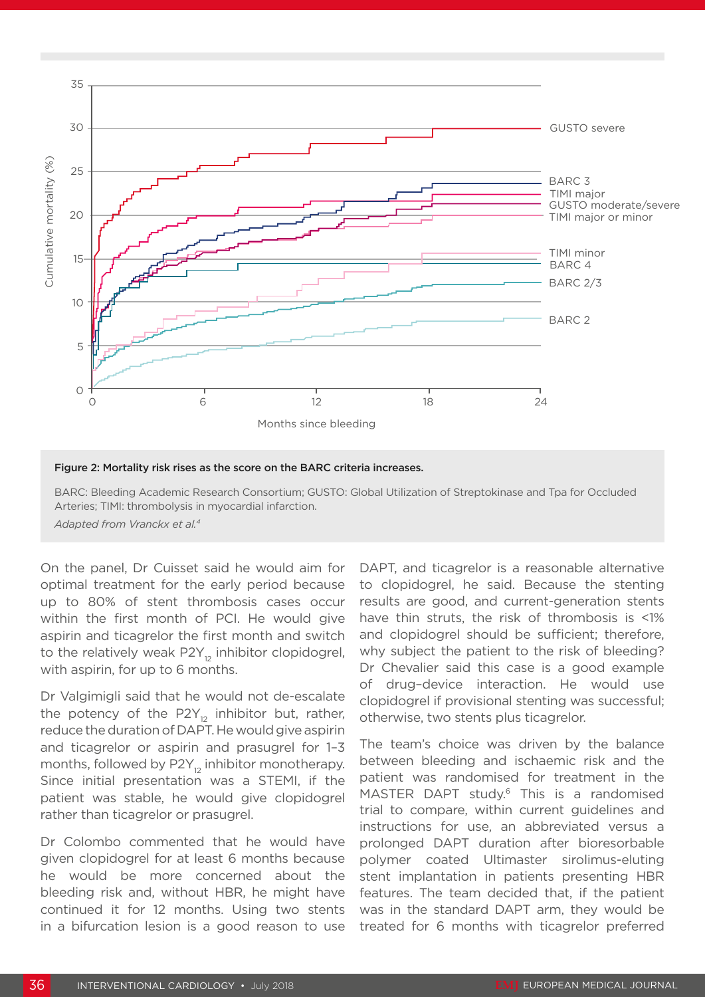

#### Figure 2: Mortality risk rises as the score on the BARC criteria increases.

BARC: Bleeding Academic Research Consortium; GUSTO: Global Utilization of Streptokinase and Tpa for Occluded Arteries; TIMI: thrombolysis in myocardial infarction. *Adapted from Vranckx et al.4*

On the panel, Dr Cuisset said he would aim for optimal treatment for the early period because up to 80% of stent thrombosis cases occur within the first month of PCI. He would give aspirin and ticagrelor the first month and switch to the relatively weak  $P2Y_{12}$  inhibitor clopidogrel, with aspirin, for up to 6 months.

Dr Valgimigli said that he would not de-escalate the potency of the P2 $Y_{12}$  inhibitor but, rather, reduce the duration of DAPT. He would give aspirin and ticagrelor or aspirin and prasugrel for 1–3 months, followed by  $P2Y_{12}$  inhibitor monotherapy. Since initial presentation was a STEMI, if the patient was stable, he would give clopidogrel rather than ticagrelor or prasugrel.

Dr Colombo commented that he would have given clopidogrel for at least 6 months because he would be more concerned about the bleeding risk and, without HBR, he might have continued it for 12 months. Using two stents in a bifurcation lesion is a good reason to use

DAPT, and ticagrelor is a reasonable alternative to clopidogrel, he said. Because the stenting results are good, and current-generation stents have thin struts, the risk of thrombosis is <1% and clopidogrel should be sufficient; therefore, why subject the patient to the risk of bleeding? Dr Chevalier said this case is a good example of drug–device interaction. He would use clopidogrel if provisional stenting was successful; otherwise, two stents plus ticagrelor.

The team's choice was driven by the balance between bleeding and ischaemic risk and the patient was randomised for treatment in the MASTER DAPT study.<sup>6</sup> This is a randomised trial to compare, within current guidelines and instructions for use, an abbreviated versus a prolonged DAPT duration after bioresorbable polymer coated Ultimaster sirolimus-eluting stent implantation in patients presenting HBR features. The team decided that, if the patient was in the standard DAPT arm, they would be treated for 6 months with ticagrelor preferred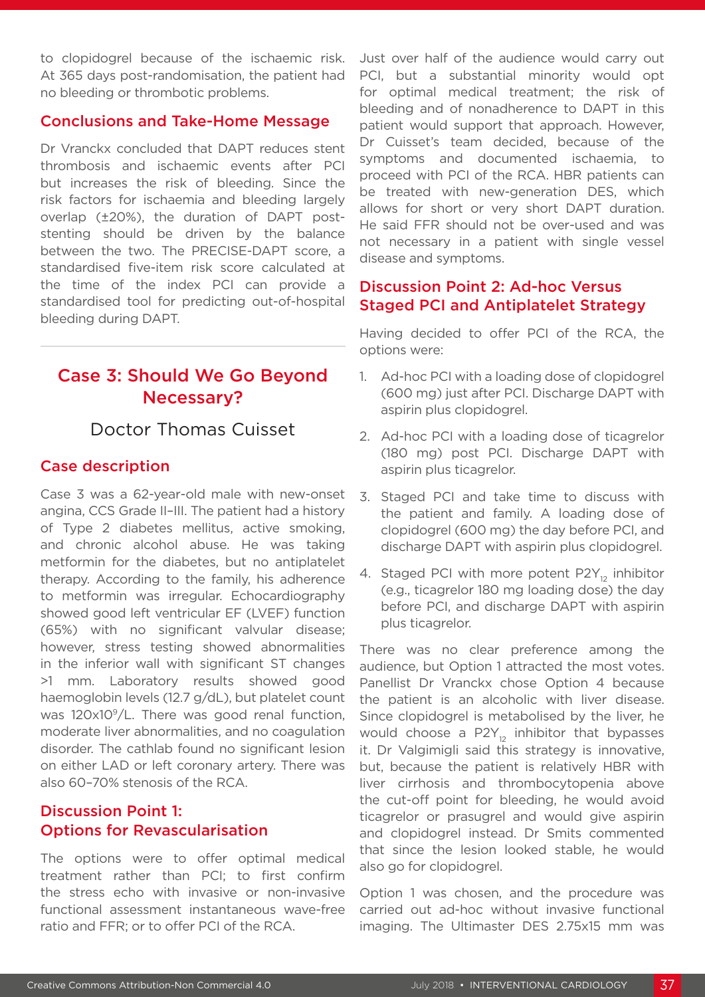to clopidogrel because of the ischaemic risk. At 365 days post-randomisation, the patient had no bleeding or thrombotic problems.

#### Conclusions and Take-Home Message

Dr Vranckx concluded that DAPT reduces stent thrombosis and ischaemic events after PCI but increases the risk of bleeding. Since the risk factors for ischaemia and bleeding largely overlap (±20%), the duration of DAPT poststenting should be driven by the balance between the two. The PRECISE-DAPT score, a standardised five-item risk score calculated at the time of the index PCI can provide a standardised tool for predicting out-of-hospital bleeding during DAPT.

### Case 3: Should We Go Beyond Necessary?

### Doctor Thomas Cuisset

#### Case description

Case 3 was a 62-year-old male with new-onset angina, CCS Grade II–III. The patient had a history of Type 2 diabetes mellitus, active smoking, and chronic alcohol abuse. He was taking metformin for the diabetes, but no antiplatelet therapy. According to the family, his adherence to metformin was irregular. Echocardiography showed good left ventricular EF (LVEF) function (65%) with no significant valvular disease; however, stress testing showed abnormalities in the inferior wall with significant ST changes >1 mm. Laboratory results showed good haemoglobin levels (12.7 g/dL), but platelet count was 120x10<sup>9</sup>/L. There was good renal function, moderate liver abnormalities, and no coagulation disorder. The cathlab found no significant lesion on either LAD or left coronary artery. There was also 60–70% stenosis of the RCA.

#### Discussion Point 1: Options for Revascularisation

The options were to offer optimal medical treatment rather than PCI; to first confirm the stress echo with invasive or non-invasive functional assessment instantaneous wave-free ratio and FFR; or to offer PCI of the RCA.

Just over half of the audience would carry out PCI, but a substantial minority would opt for optimal medical treatment; the risk of bleeding and of nonadherence to DAPT in this patient would support that approach. However, Dr Cuisset's team decided, because of the symptoms and documented ischaemia, to proceed with PCI of the RCA. HBR patients can be treated with new-generation DES, which allows for short or very short DAPT duration. He said FFR should not be over-used and was not necessary in a patient with single vessel disease and symptoms.

#### Discussion Point 2: Ad-hoc Versus Staged PCI and Antiplatelet Strategy

Having decided to offer PCI of the RCA, the options were:

- 1. Ad-hoc PCI with a loading dose of clopidogrel (600 mg) just after PCI. Discharge DAPT with aspirin plus clopidogrel.
- 2. Ad-hoc PCI with a loading dose of ticagrelor (180 mg) post PCI. Discharge DAPT with aspirin plus ticagrelor.
- 3. Staged PCI and take time to discuss with the patient and family. A loading dose of clopidogrel (600 mg) the day before PCI, and discharge DAPT with aspirin plus clopidogrel.
- 4. Staged PCI with more potent  $P2Y_{12}$  inhibitor (e.g., ticagrelor 180 mg loading dose) the day before PCI, and discharge DAPT with aspirin plus ticagrelor.

There was no clear preference among the audience, but Option 1 attracted the most votes. Panellist Dr Vranckx chose Option 4 because the patient is an alcoholic with liver disease. Since clopidogrel is metabolised by the liver, he would choose a  $P2Y_{12}$  inhibitor that bypasses it. Dr Valgimigli said this strategy is innovative, but, because the patient is relatively HBR with liver cirrhosis and thrombocytopenia above the cut-off point for bleeding, he would avoid ticagrelor or prasugrel and would give aspirin and clopidogrel instead. Dr Smits commented that since the lesion looked stable, he would also go for clopidogrel.

Option 1 was chosen, and the procedure was carried out ad-hoc without invasive functional imaging. The Ultimaster DES 2.75x15 mm was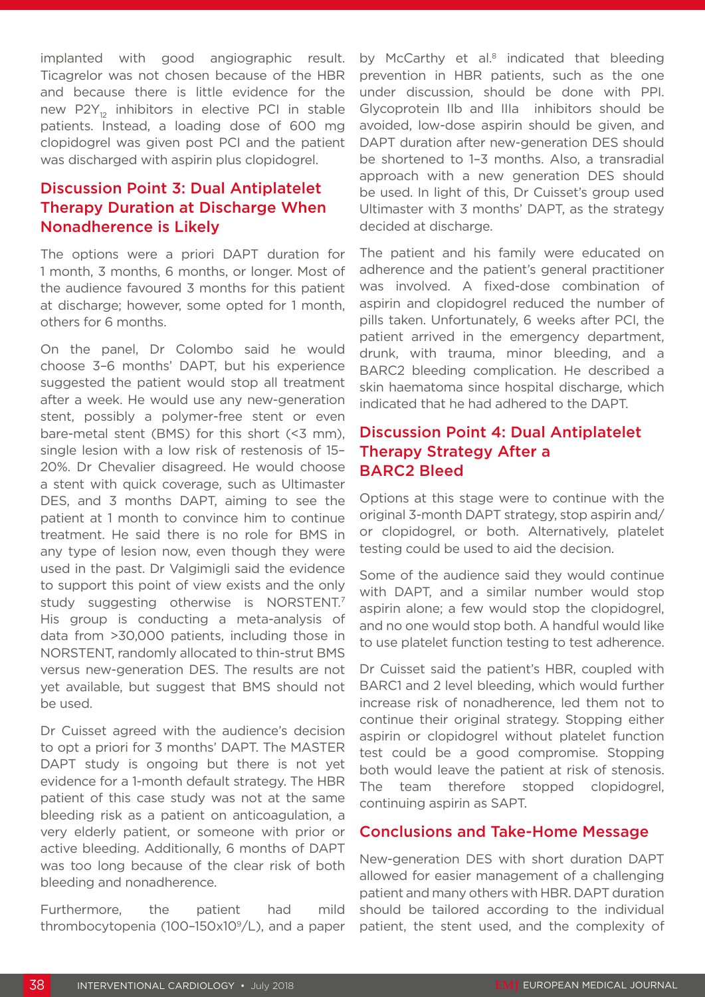implanted with good angiographic result. Ticagrelor was not chosen because of the HBR and because there is little evidence for the new P2Y<sub>12</sub> inhibitors in elective PCI in stable patients. Instead, a loading dose of 600 mg clopidogrel was given post PCI and the patient was discharged with aspirin plus clopidogrel.

### Discussion Point 3: Dual Antiplatelet Therapy Duration at Discharge When Nonadherence is Likely

The options were a priori DAPT duration for 1 month, 3 months, 6 months, or longer. Most of the audience favoured 3 months for this patient at discharge; however, some opted for 1 month, others for 6 months.

On the panel, Dr Colombo said he would choose 3–6 months' DAPT, but his experience suggested the patient would stop all treatment after a week. He would use any new-generation stent, possibly a polymer-free stent or even bare-metal stent (BMS) for this short (<3 mm), single lesion with a low risk of restenosis of 15– 20%. Dr Chevalier disagreed. He would choose a stent with quick coverage, such as Ultimaster DES, and 3 months DAPT, aiming to see the patient at 1 month to convince him to continue treatment. He said there is no role for BMS in any type of lesion now, even though they were used in the past. Dr Valgimigli said the evidence to support this point of view exists and the only study suggesting otherwise is NORSTENT.7 His group is conducting a meta-analysis of data from >30,000 patients, including those in NORSTENT, randomly allocated to thin-strut BMS versus new-generation DES. The results are not yet available, but suggest that BMS should not be used.

Dr Cuisset agreed with the audience's decision to opt a priori for 3 months' DAPT. The MASTER DAPT study is ongoing but there is not yet evidence for a 1-month default strategy. The HBR patient of this case study was not at the same bleeding risk as a patient on anticoagulation, a very elderly patient, or someone with prior or active bleeding. Additionally, 6 months of DAPT was too long because of the clear risk of both bleeding and nonadherence.

Furthermore, the patient had mild thrombocytopenia (100-150x10 $^9$ /L), and a paper by McCarthy et al.<sup>8</sup> indicated that bleeding prevention in HBR patients, such as the one under discussion, should be done with PPI. Glycoprotein IIb and IIIa inhibitors should be avoided, low-dose aspirin should be given, and DAPT duration after new-generation DES should be shortened to 1–3 months. Also, a transradial approach with a new generation DES should be used. In light of this, Dr Cuisset's group used Ultimaster with 3 months' DAPT, as the strategy decided at discharge.

The patient and his family were educated on adherence and the patient's general practitioner was involved. A fixed-dose combination of aspirin and clopidogrel reduced the number of pills taken. Unfortunately, 6 weeks after PCI, the patient arrived in the emergency department, drunk, with trauma, minor bleeding, and a BARC2 bleeding complication. He described a skin haematoma since hospital discharge, which indicated that he had adhered to the DAPT.

#### Discussion Point 4: Dual Antiplatelet Therapy Strategy After a BARC2 Bleed

Options at this stage were to continue with the original 3-month DAPT strategy, stop aspirin and/ or clopidogrel, or both. Alternatively, platelet testing could be used to aid the decision.

Some of the audience said they would continue with DAPT, and a similar number would stop aspirin alone; a few would stop the clopidogrel, and no one would stop both. A handful would like to use platelet function testing to test adherence.

Dr Cuisset said the patient's HBR, coupled with BARC1 and 2 level bleeding, which would further increase risk of nonadherence, led them not to continue their original strategy. Stopping either aspirin or clopidogrel without platelet function test could be a good compromise. Stopping both would leave the patient at risk of stenosis. The team therefore stopped clopidogrel, continuing aspirin as SAPT.

#### Conclusions and Take-Home Message

New-generation DES with short duration DAPT allowed for easier management of a challenging patient and many others with HBR. DAPT duration should be tailored according to the individual patient, the stent used, and the complexity of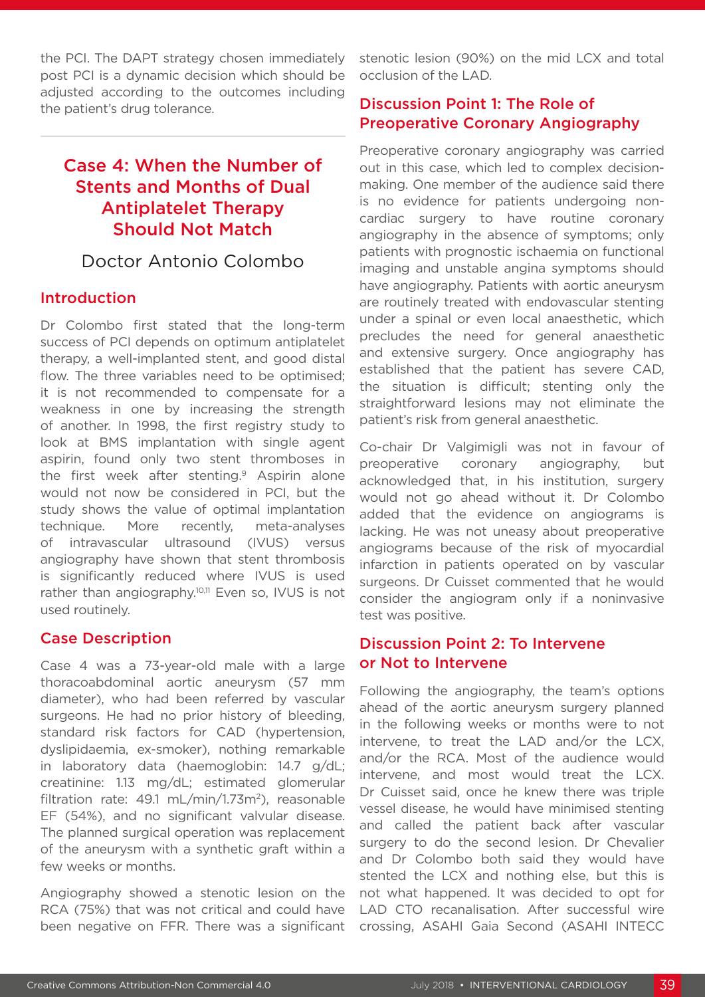the PCI. The DAPT strategy chosen immediately post PCI is a dynamic decision which should be adjusted according to the outcomes including the patient's drug tolerance.

## Case 4: When the Number of Stents and Months of Dual Antiplatelet Therapy Should Not Match

### Doctor Antonio Colombo

#### Introduction

Dr Colombo first stated that the long-term success of PCI depends on optimum antiplatelet therapy, a well-implanted stent, and good distal flow. The three variables need to be optimised; it is not recommended to compensate for a weakness in one by increasing the strength of another. In 1998, the first registry study to look at BMS implantation with single agent aspirin, found only two stent thromboses in the first week after stenting.<sup>9</sup> Aspirin alone would not now be considered in PCI, but the study shows the value of optimal implantation technique. More recently, meta-analyses of intravascular ultrasound (IVUS) versus angiography have shown that stent thrombosis is significantly reduced where IVUS is used rather than angiography.<sup>10,11</sup> Even so, IVUS is not used routinely.

### Case Description

Case 4 was a 73-year-old male with a large thoracoabdominal aortic aneurysm (57 mm diameter), who had been referred by vascular surgeons. He had no prior history of bleeding, standard risk factors for CAD (hypertension, dyslipidaemia, ex-smoker), nothing remarkable in laboratory data (haemoglobin: 14.7 g/dL; creatinine: 1.13 mg/dL; estimated glomerular filtration rate:  $49.1 \text{ mL/min} / 1.73 \text{m}^2$ ), reasonable EF (54%), and no significant valvular disease. The planned surgical operation was replacement of the aneurysm with a synthetic graft within a few weeks or months.

Angiography showed a stenotic lesion on the RCA (75%) that was not critical and could have been negative on FFR. There was a significant stenotic lesion (90%) on the mid LCX and total occlusion of the LAD.

### Discussion Point 1: The Role of Preoperative Coronary Angiography

Preoperative coronary angiography was carried out in this case, which led to complex decisionmaking. One member of the audience said there is no evidence for patients undergoing noncardiac surgery to have routine coronary angiography in the absence of symptoms; only patients with prognostic ischaemia on functional imaging and unstable angina symptoms should have angiography. Patients with aortic aneurysm are routinely treated with endovascular stenting under a spinal or even local anaesthetic, which precludes the need for general anaesthetic and extensive surgery. Once angiography has established that the patient has severe CAD, the situation is difficult; stenting only the straightforward lesions may not eliminate the patient's risk from general anaesthetic.

Co-chair Dr Valgimigli was not in favour of preoperative coronary angiography, but acknowledged that, in his institution, surgery would not go ahead without it. Dr Colombo added that the evidence on angiograms is lacking. He was not uneasy about preoperative angiograms because of the risk of myocardial infarction in patients operated on by vascular surgeons. Dr Cuisset commented that he would consider the angiogram only if a noninvasive test was positive.

#### Discussion Point 2: To Intervene or Not to Intervene

Following the angiography, the team's options ahead of the aortic aneurysm surgery planned in the following weeks or months were to not intervene, to treat the LAD and/or the LCX, and/or the RCA. Most of the audience would intervene, and most would treat the LCX. Dr Cuisset said, once he knew there was triple vessel disease, he would have minimised stenting and called the patient back after vascular surgery to do the second lesion. Dr Chevalier and Dr Colombo both said they would have stented the LCX and nothing else, but this is not what happened. It was decided to opt for LAD CTO recanalisation. After successful wire crossing, ASAHI Gaia Second (ASAHI INTECC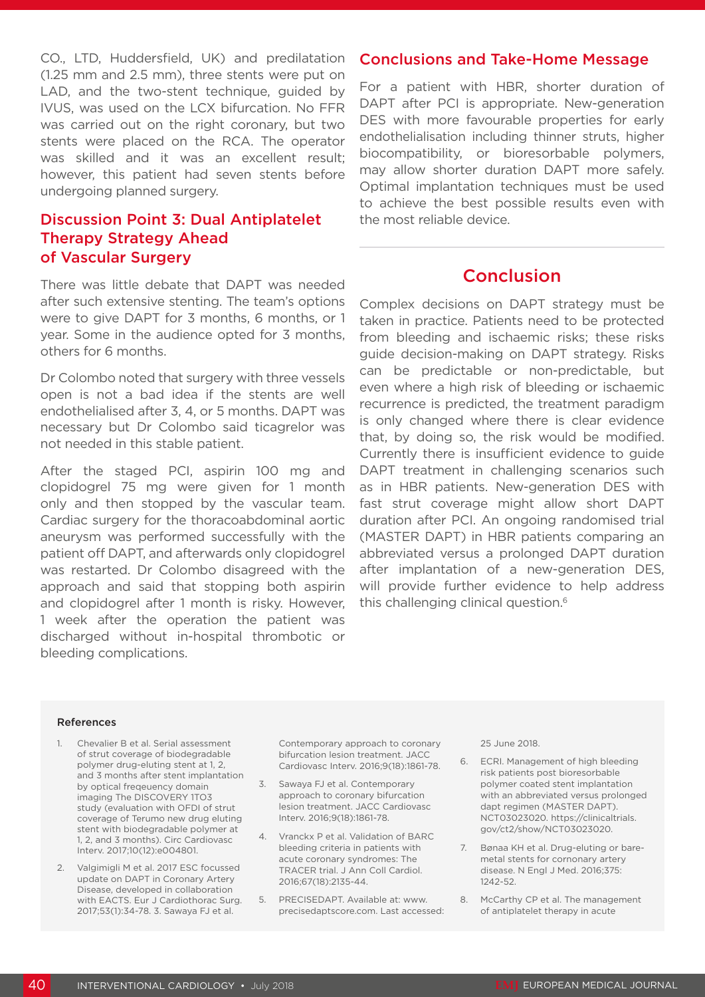CO., LTD, Huddersfield, UK) and predilatation (1.25 mm and 2.5 mm), three stents were put on LAD, and the two-stent technique, guided by IVUS, was used on the LCX bifurcation. No FFR was carried out on the right coronary, but two stents were placed on the RCA. The operator was skilled and it was an excellent result; however, this patient had seven stents before undergoing planned surgery.

#### Discussion Point 3: Dual Antiplatelet Therapy Strategy Ahead of Vascular Surgery

There was little debate that DAPT was needed after such extensive stenting. The team's options were to give DAPT for 3 months, 6 months, or 1 year. Some in the audience opted for 3 months, others for 6 months.

Dr Colombo noted that surgery with three vessels open is not a bad idea if the stents are well endothelialised after 3, 4, or 5 months. DAPT was necessary but Dr Colombo said ticagrelor was not needed in this stable patient.

After the staged PCI, aspirin 100 mg and clopidogrel 75 mg were given for 1 month only and then stopped by the vascular team. Cardiac surgery for the thoracoabdominal aortic aneurysm was performed successfully with the patient off DAPT, and afterwards only clopidogrel was restarted. Dr Colombo disagreed with the approach and said that stopping both aspirin and clopidogrel after 1 month is risky. However, 1 week after the operation the patient was discharged without in-hospital thrombotic or bleeding complications.

#### Conclusions and Take-Home Message

For a patient with HBR, shorter duration of DAPT after PCI is appropriate. New-generation DES with more favourable properties for early endothelialisation including thinner struts, higher biocompatibility, or bioresorbable polymers, may allow shorter duration DAPT more safely. Optimal implantation techniques must be used to achieve the best possible results even with the most reliable device.

### Conclusion

Complex decisions on DAPT strategy must be taken in practice. Patients need to be protected from bleeding and ischaemic risks; these risks guide decision-making on DAPT strategy. Risks can be predictable or non-predictable, but even where a high risk of bleeding or ischaemic recurrence is predicted, the treatment paradigm is only changed where there is clear evidence that, by doing so, the risk would be modified. Currently there is insufficient evidence to guide DAPT treatment in challenging scenarios such as in HBR patients. New-generation DES with fast strut coverage might allow short DAPT duration after PCI. An ongoing randomised trial (MASTER DAPT) in HBR patients comparing an abbreviated versus a prolonged DAPT duration after implantation of a new-generation DES, will provide further evidence to help address this challenging clinical question.<sup>6</sup>

#### References

- 1. Chevalier B et al. Serial assessment of strut coverage of biodegradable polymer drug-eluting stent at 1, 2, and 3 months after stent implantation by optical freqeuency domain imaging The DISCOVERY 1TO3 study (evaluation with OFDI of strut coverage of Terumo new drug eluting stent with biodegradable polymer at 1, 2, and 3 months). Circ Cardiovasc Interv. 2017;10(12):e004801.
- 2. Valgimigli M et al. 2017 ESC focussed update on DAPT in Coronary Artery Disease, developed in collaboration with EACTS. Eur J Cardiothorac Surg. 2017;53(1):34-78. 3. Sawaya FJ et al.

Contemporary approach to coronary bifurcation lesion treatment. JACC Cardiovasc Interv. 2016;9(18):1861-78.

- 3. Sawaya FJ et al. Contemporary approach to coronary bifurcation lesion treatment. JACC Cardiovasc Interv. 2016;9(18):1861-78.
- 4. Vranckx P et al. Validation of BARC bleeding criteria in patients with acute coronary syndromes: The TRACER trial. J Ann Coll Cardiol. 2016;67(18):2135-44.
- 5. PRECISEDAPT. Available at: www. precisedaptscore.com. Last accessed:

25 June 2018.

- 6. ECRI. Management of high bleeding risk patients post bioresorbable polymer coated stent implantation with an abbreviated versus prolonged dapt regimen (MASTER DAPT). NCT03023020. https://clinicaltrials. gov/ct2/show/NCT03023020.
- 7. Bønaa KH et al. Drug-eluting or baremetal stents for cornonary artery disease. N Engl J Med. 2016;375: 1242-52.
- 8. McCarthy CP et al. The management of antiplatelet therapy in acute